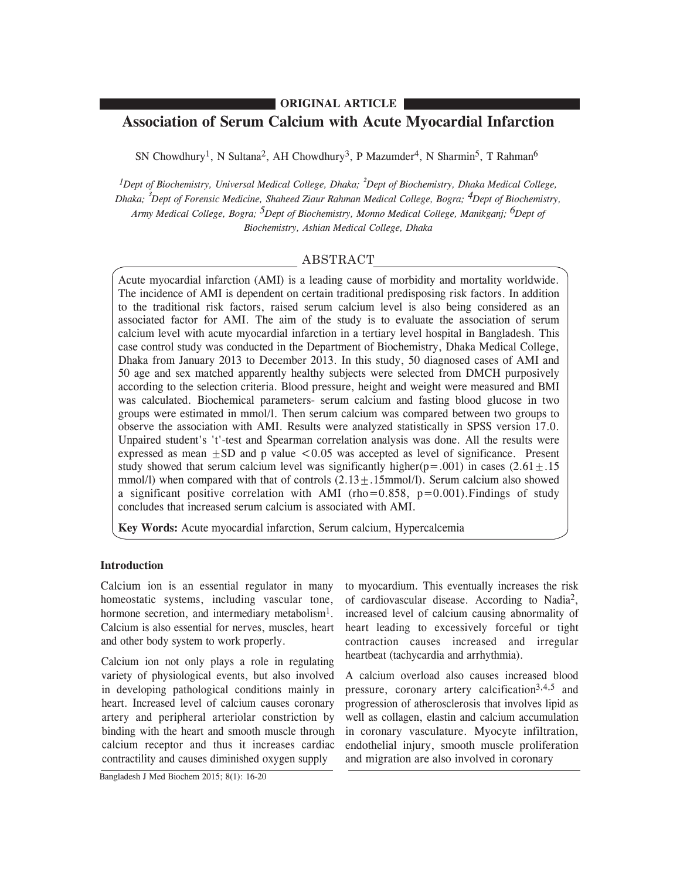## **ORIGINAL ARTICLE**

# **Association of Serum Calcium with Acute Myocardial Infarction**

SN Chowdhury<sup>1</sup>, N Sultana<sup>2</sup>, AH Chowdhury<sup>3</sup>, P Mazumder<sup>4</sup>, N Sharmin<sup>5</sup>, T Rahman<sup>6</sup>

*1Dept of Biochemistry, Universal Medical College, Dhaka; ²Dept of Biochemistry, Dhaka Medical College, Dhaka; ³Dept of Forensic Medicine, Shaheed Ziaur Rahman Medical College, Bogra; 4Dept of Biochemistry, Army Medical College, Bogra; 5Dept of Biochemistry, Monno Medical College, Manikganj; 6Dept of Biochemistry, Ashian Medical College, Dhaka*

# ABSTRACT

Acute myocardial infarction (AMI) is a leading cause of morbidity and mortality worldwide. The incidence of AMI is dependent on certain traditional predisposing risk factors. In addition to the traditional risk factors, raised serum calcium level is also being considered as an associated factor for AMI. The aim of the study is to evaluate the association of serum calcium level with acute myocardial infarction in a tertiary level hospital in Bangladesh. This case control study was conducted in the Department of Biochemistry, Dhaka Medical College, Dhaka from January 2013 to December 2013. In this study, 50 diagnosed cases of AMI and 50 age and sex matched apparently healthy subjects were selected from DMCH purposively according to the selection criteria. Blood pressure, height and weight were measured and BMI was calculated. Biochemical parameters- serum calcium and fasting blood glucose in two groups were estimated in mmol/l. Then serum calcium was compared between two groups to observe the association with AMI. Results were analyzed statistically in SPSS version 17.0. Unpaired student's 't'-test and Spearman correlation analysis was done. All the results were expressed as mean  $+SD$  and p value  $< 0.05$  was accepted as level of significance. Present study showed that serum calcium level was significantly higher( $p = .001$ ) in cases (2.61 + .15 mmol/l) when compared with that of controls  $(2.13+.15$ mmol/l). Serum calcium also showed a significant positive correlation with AMI (rho=0.858,  $p=0.001$ ). Findings of study concludes that increased serum calcium is associated with AMI.

**Key Words:** Acute myocardial infarction, Serum calcium, Hypercalcemia

#### **Introduction**

Calcium ion is an essential regulator in many homeostatic systems, including vascular tone, hormone secretion, and intermediary metabolism<sup>1</sup>. Calcium is also essential for nerves, muscles, heart and other body system to work properly.

Calcium ion not only plays a role in regulating variety of physiological events, but also involved in developing pathological conditions mainly in heart. Increased level of calcium causes coronary artery and peripheral arteriolar constriction by binding with the heart and smooth muscle through calcium receptor and thus it increases cardiac contractility and causes diminished oxygen supply

to myocardium. This eventually increases the risk of cardiovascular disease. According to Nadia2, increased level of calcium causing abnormality of heart leading to excessively forceful or tight contraction causes increased and irregular heartbeat (tachycardia and arrhythmia).

A calcium overload also causes increased blood pressure, coronary artery calcification<sup>3,4,5</sup> and progression of atherosclerosis that involves lipid as well as collagen, elastin and calcium accumulation in coronary vasculature. Myocyte infiltration, endothelial injury, smooth muscle proliferation and migration are also involved in coronary

Bangladesh J Med Biochem 2015; 8(1): 16-20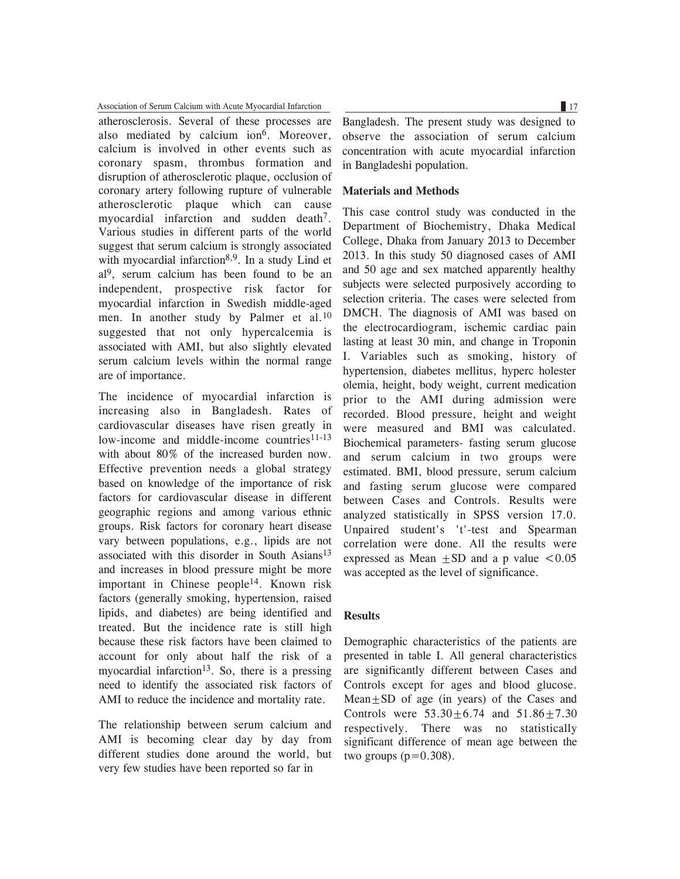### Association of Serum Calcium with Acute Myocardial Infarction 17 17

atherosclerosis. Several of these processes are also mediated by calcium ion<sup>6</sup>. Moreover, calcium is involved in other events such as coronary spasm, thrombus formation and disruption of atherosclerotic plaque, occlusion of coronary artery following rupture of vulnerable atherosclerotic plaque which can cause myocardial infarction and sudden death<sup>7</sup>. Various studies in different parts of the world suggest that serum calcium is strongly associated with myocardial infarction<sup>8,9</sup>. In a study Lind et al 9, serum calcium has been found to be an independent, prospective risk factor for myocardial infarction in Swedish middle-aged men. In another study by Palmer et al.<sup>10</sup> suggested that not only hypercalcemia is associated with AMI, but also slightly elevated serum calcium levels within the normal range are of importance.

The incidence of myocardial infarction is increasing also in Bangladesh. Rates of cardiovascular diseases have risen greatly in low-income and middle-income countries $11-13$ with about 80% of the increased burden now. Effective prevention needs a global strategy based on knowledge of the importance of risk factors for cardiovascular disease in different geographic regions and among various ethnic groups. Risk factors for coronary heart disease vary between populations, e.g., lipids are not associated with this disorder in South Asians<sup>13</sup> and increases in blood pressure might be more important in Chinese people14. Known risk factors (generally smoking, hypertension, raised lipids, and diabetes) are being identified and treated. But the incidence rate is still high because these risk factors have been claimed to account for only about half the risk of a myocardial infarction<sup>13</sup>. So, there is a pressing need to identify the associated risk factors of AMI to reduce the incidence and mortality rate.

The relationship between serum calcium and AMI is becoming clear day by day from different studies done around the world, but very few studies have been reported so far in

Bangladesh. The present study was designed to observe the association of serum calcium concentration with acute myocardial infarction in Bangladeshi population.

#### **Materials and Methods**

This case control study was conducted in the Department of Biochemistry, Dhaka Medical College, Dhaka from January 2013 to December 2013. In this study 50 diagnosed cases of AMI and 50 age and sex matched apparently healthy subjects were selected purposively according to selection criteria. The cases were selected from DMCH. The diagnosis of AMI was based on the electrocardiogram, ischemic cardiac pain lasting at least 30 min, and change in Troponin I. Variables such as smoking, history of hypertension, diabetes mellitus, hyperc holester olemia, height, body weight, current medication prior to the AMI during admission were recorded. Blood pressure, height and weight were measured and BMI was calculated. Biochemical parameters- fasting serum glucose and serum calcium in two groups were estimated. BMI, blood pressure, serum calcium and fasting serum glucose were compared between Cases and Controls. Results were analyzed statistically in SPSS version 17.0. Unpaired student's 't'-test and Spearman correlation were done. All the results were expressed as Mean  $+SD$  and a p value  $\leq 0.05$ was accepted as the level of significance.

# **Results**

Demographic characteristics of the patients are presented in table I. All general characteristics are significantly different between Cases and Controls except for ages and blood glucose. Mean $\pm$ SD of age (in years) of the Cases and Controls were  $53.30 \pm 6.74$  and  $51.86 \pm 7.30$ respectively. There was no statistically significant difference of mean age between the two groups  $(p=0.308)$ .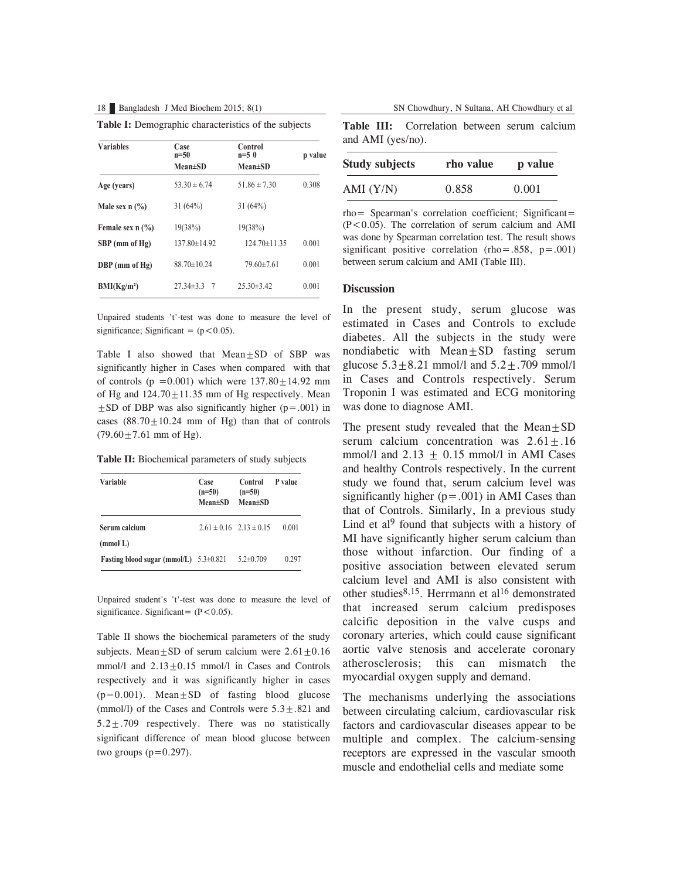|  | Table I: Demographic characteristics of the subjects |  |
|--|------------------------------------------------------|--|
|  |                                                      |  |

| <b>Variables</b>                        | Case<br>$n=50$        | Control<br>$n=5$ 0 | p value |
|-----------------------------------------|-----------------------|--------------------|---------|
|                                         | $Mean \pm SD$         | $Mean \pm SD$      |         |
| Age (years)                             | $53.30 \pm 6.74$      | $51.86 \pm 7.30$   | 0.308   |
| Male sex $n$ $\left(\frac{9}{6}\right)$ | 31(64%)               | 31(64%)            |         |
| Female sex $n$ $\frac{6}{6}$            | 19(38%)               | 19(38%)            |         |
| SBP (mm of Hg)                          | $137.80 \pm 14.92$    | $124.70 \pm 11.35$ | 0.001   |
| DBP (mm of Hg)                          | $88.70 \pm 10.24$     | $79.60\pm7.61$     | 0.001   |
| BMI(Kg/m <sup>2</sup> )                 | $27.34 \pm 3.3$<br>-7 | $25.30\pm3.42$     | 0.001   |

Unpaired students 't'-test was done to measure the level of significance; Significant =  $(p < 0.05)$ .

Table I also showed that  $Mean \pm SD$  of SBP was significantly higher in Cases when compared with that of controls ( $p = 0.001$ ) which were  $137.80 \pm 14.92$  mm of Hg and  $124.70 \pm 11.35$  mm of Hg respectively. Mean  $\pm$ SD of DBP was also significantly higher (p=.001) in cases  $(88.70 \pm 10.24 \text{ mm of Hg})$  than that of controls  $(79.60 \pm 7.61$  mm of Hg).

**Table II:** Biochemical parameters of study subjects

| Variable                                   | Case<br>$(n=50)$<br><b>Mean</b> ±SD | Control<br>$(n=50)$<br>$Mean \pm SD$ | P value |
|--------------------------------------------|-------------------------------------|--------------------------------------|---------|
| Serum calcium                              |                                     | $2.61 \pm 0.16$ $2.13 \pm 0.15$      | 0.001   |
| (mmol)                                     |                                     |                                      |         |
| Fasting blood sugar (mmol/L) $5.3\pm0.821$ |                                     | $5.2 \pm 0.709$                      | 0.297   |

Unpaired student's 't'-test was done to measure the level of significance. Significant=  $(P<0.05)$ .

Table II shows the biochemical parameters of the study subjects. Mean $\pm$ SD of serum calcium were  $2.61\pm0.16$ mmol/l and  $2.13 \pm 0.15$  mmol/l in Cases and Controls respectively and it was significantly higher in cases  $(p=0.001)$ . Mean $\pm$ SD of fasting blood glucose (mmol/l) of the Cases and Controls were  $5.3 \pm .821$  and 5.2±.709 respectively. There was no statistically significant difference of mean blood glucose between two groups  $(p=0.297)$ .

**Table III:** Correlation between serum calcium and AMI (yes/no).

| <b>Study subjects</b> | rho value | p value |
|-----------------------|-----------|---------|
| AMI $(Y/N)$           | 0.858     | 0.001   |

rho= Spearman's correlation coefficient; Significant=  $(P<0.05)$ . The correlation of serum calcium and AMI was done by Spearman correlation test. The result shows significant positive correlation (rho=.858,  $p = .001$ ) between serum calcium and AMI (Table III).

#### **Discussion**

In the present study, serum glucose was estimated in Cases and Controls to exclude diabetes. All the subjects in the study were nondiabetic with  $Mean \pm SD$  fasting serum glucose  $5.3 \pm 8.21$  mmol/l and  $5.2 \pm .709$  mmol/l in Cases and Controls respectively. Serum Troponin I was estimated and ECG monitoring was done to diagnose AMI.

The present study revealed that the  $Mean \pm SD$ serum calcium concentration was  $2.61 \pm .16$ mmol/l and  $2.13 \pm 0.15$  mmol/l in AMI Cases and healthy Controls respectively. In the current study we found that, serum calcium level was significantly higher  $(p=.001)$  in AMI Cases than that of Controls. Similarly, In a previous study Lind et al<sup>9</sup> found that subjects with a history of MI have significantly higher serum calcium than those without infarction. Our finding of a positive association between elevated serum calcium level and AMI is also consistent with other studies<sup>8,15</sup>. Herrmann et al<sup>16</sup> demonstrated that increased serum calcium predisposes calcific deposition in the valve cusps and coronary arteries, which could cause significant aortic valve stenosis and accelerate coronary atherosclerosis; this can mismatch the myocardial oxygen supply and demand.

The mechanisms underlying the associations between circulating calcium, cardiovascular risk factors and cardiovascular diseases appear to be multiple and complex. The calcium-sensing receptors are expressed in the vascular smooth muscle and endothelial cells and mediate some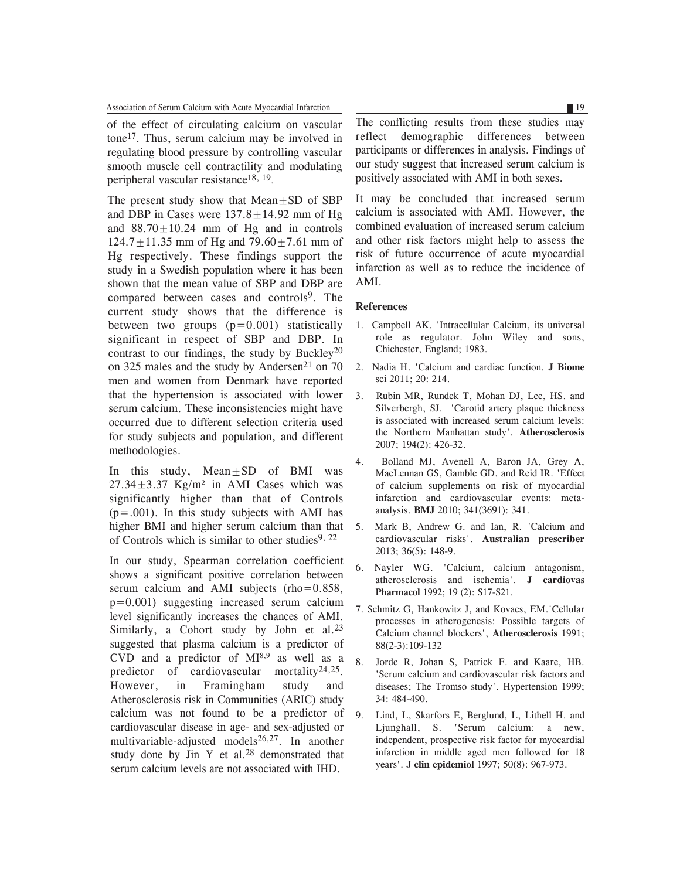Association of Serum Calcium with Acute Myocardial Infarction 19 19

of the effect of circulating calcium on vascular tone17. Thus, serum calcium may be involved in regulating blood pressure by controlling vascular smooth muscle cell contractility and modulating peripheral vascular resistance18, 19.

The present study show that  $Mean \pm SD$  of SBP and DBP in Cases were  $137.8 \pm 14.92$  mm of Hg and  $88.70 \pm 10.24$  mm of Hg and in controls  $124.7 \pm 11.35$  mm of Hg and  $79.60 \pm 7.61$  mm of Hg respectively. These findings support the study in a Swedish population where it has been shown that the mean value of SBP and DBP are compared between cases and controls<sup>9</sup>. The current study shows that the difference is between two groups  $(p=0.001)$  statistically significant in respect of SBP and DBP. In contrast to our findings, the study by Buckley<sup>20</sup> on 325 males and the study by Andersen<sup>21</sup> on 70 men and women from Denmark have reported that the hypertension is associated with lower serum calcium. These inconsistencies might have occurred due to different selection criteria used for study subjects and population, and different methodologies.

In this study, Mean+SD of BMI was  $27.34 \pm 3.37$  Kg/m<sup>2</sup> in AMI Cases which was significantly higher than that of Controls  $(p=.001)$ . In this study subjects with AMI has higher BMI and higher serum calcium than that of Controls which is similar to other studies<sup>9, 22</sup>

In our study, Spearman correlation coefficient shows a significant positive correlation between serum calcium and AMI subjects (rho=0.858,  $p=0.001$ ) suggesting increased serum calcium level significantly increases the chances of AMI. Similarly, a Cohort study by John et al.<sup>23</sup> suggested that plasma calcium is a predictor of CVD and a predictor of MI8,9 as well as a predictor of cardiovascular mortality<sup>24,25</sup>. However, in Framingham study and Atherosclerosis risk in Communities (ARIC) study calcium was not found to be a predictor of cardiovascular disease in age- and sex-adjusted or multivariable-adjusted models $26,27$ . In another study done by Jin Y et al. $28$  demonstrated that serum calcium levels are not associated with IHD.

The conflicting results from these studies may reflect demographic differences between participants or differences in analysis. Findings of our study suggest that increased serum calcium is positively associated with AMI in both sexes.

It may be concluded that increased serum calcium is associated with AMI. However, the combined evaluation of increased serum calcium and other risk factors might help to assess the risk of future occurrence of acute myocardial infarction as well as to reduce the incidence of AMI.

#### **References**

- 1. Campbell AK. 'Intracellular Calcium, its universal role as regulator. John Wiley and sons, Chichester, England; 1983.
- 2. Nadia H. 'Calcium and cardiac function. **J Biome** sci 2011; 20: 214.
- 3. Rubin MR, Rundek T, Mohan DJ, Lee, HS. and Silverbergh, SJ. 'Carotid artery plaque thickness is associated with increased serum calcium levels: the Northern Manhattan study'. **Atherosclerosis** 2007; 194(2): 426-32.
- 4. Bolland MJ, Avenell A, Baron JA, Grey A, MacLennan GS, Gamble GD. and Reid IR. 'Effect of calcium supplements on risk of myocardial infarction and cardiovascular events: metaanalysis. **BMJ** 2010; 341(3691): 341.
- 5. Mark B, Andrew G. and Ian, R. 'Calcium and cardiovascular risks'. **Australian prescriber** 2013; 36(5): 148-9.
- 6. Nayler WG. 'Calcium, calcium antagonism, atherosclerosis and ischemia'. **J cardiovas Pharmacol** 1992; 19 (2): S17-S21.
- 7. Schmitz G, Hankowitz J, and Kovacs, EM.'Cellular processes in atherogenesis: Possible targets of Calcium channel blockers', **Atherosclerosis** 1991; 88(2-3):109-132
- 8. Jorde R, Johan S, Patrick F. and Kaare, HB. 'Serum calcium and cardiovascular risk factors and diseases; The Tromso study'. Hypertension 1999; 34: 484-490.
- 9. Lind, L, Skarfors E, Berglund, L, Lithell H. and Ljunghall, S. 'Serum calcium: a new, independent, prospective risk factor for myocardial infarction in middle aged men followed for 18 years'. **J clin epidemiol** 1997; 50(8): 967-973.